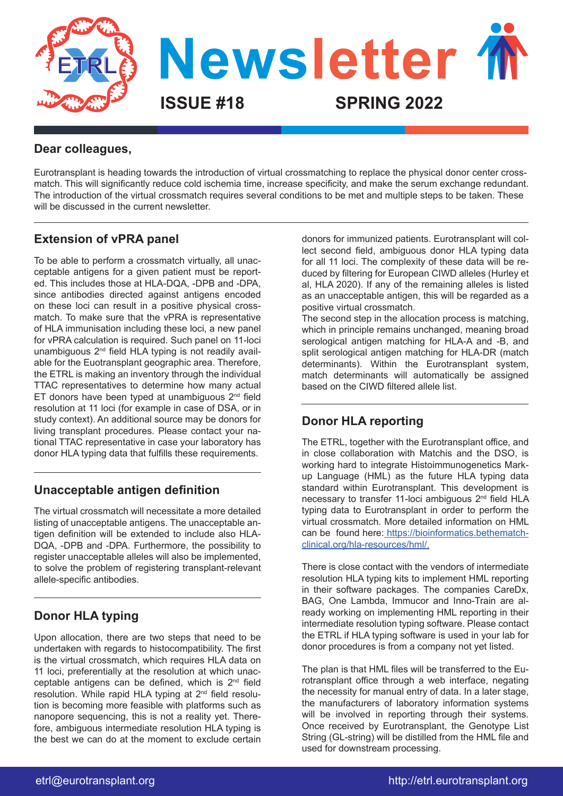

### **Dear colleagues,**

Eurotransplant is heading towards the introduction of virtual crossmatching to replace the physical donor center crossmatch. This will significantly reduce cold ischemia time, increase specificity, and make the serum exchange redundant. The introduction of the virtual crossmatch requires several conditions to be met and multiple steps to be taken. These will be discussed in the current newsletter.

### **Extension of vPRA panel**

To be able to perform a crossmatch virtually, all unacceptable antigens for a given patient must be reported. This includes those at HLA-DQA, -DPB and -DPA, since antibodies directed against antigens encoded on these loci can result in a positive physical crossmatch. To make sure that the vPRA is representative of HLA immunisation including these loci, a new panel for vPRA calculation is required. Such panel on 11-loci unambiguous  $2<sup>nd</sup>$  field HLA typing is not readily available for the Euotransplant geographic area. Therefore, the ETRL is making an inventory through the individual TTAC representatives to determine how many actual ET donors have been typed at unambiguous  $2<sup>nd</sup>$  field resolution at 11 loci (for example in case of DSA, or in study context). An additional source may be donors for living transplant procedures. Please contact your national TTAC representative in case your laboratory has donor HLA typing data that fulfills these requirements.

### **Unacceptable antigen definition**

The virtual crossmatch will necessitate a more detailed listing of unacceptable antigens. The unacceptable antigen definition will be extended to include also HLA-DQA, -DPB and -DPA. Furthermore, the possibility to register unacceptable alleles will also be implemented, to solve the problem of registering transplant-relevant allele-specific antibodies.

## **Donor HLA typing**

Upon allocation, there are two steps that need to be undertaken with regards to histocompatibility. The first is the virtual crossmatch, which requires HLA data on 11 loci, preferentially at the resolution at which unacceptable antigens can be defined, which is 2nd field resolution. While rapid HLA typing at 2nd field resolution is becoming more feasible with platforms such as nanopore sequencing, this is not a reality yet. Therefore, ambiguous intermediate resolution HLA typing is the best we can do at the moment to exclude certain

donors for immunized patients. Eurotransplant will collect second field, ambiguous donor HLA typing data for all 11 loci. The complexity of these data will be reduced by filtering for European CIWD alleles (Hurley et al, HLA 2020). If any of the remaining alleles is listed as an unacceptable antigen, this will be regarded as a positive virtual crossmatch.

The second step in the allocation process is matching, which in principle remains unchanged, meaning broad serological antigen matching for HLA-A and -B, and split serological antigen matching for HLA-DR (match determinants). Within the Eurotransplant system, match determinants will automatically be assigned based on the CIWD filtered allele list.

### **Donor HLA reporting**

The ETRL, together with the Eurotransplant office, and in close collaboration with Matchis and the DSO, is working hard to integrate Histoimmunogenetics Markup Language (HML) as the future HLA typing data standard within Eurotransplant. This development is necessary to transfer 11-loci ambiguous 2<sup>nd</sup> field HLA typing data to Eurotransplant in order to perform the virtual crossmatch. More detailed information on HML can be found here[: https://bioinformatics.bethematch]( https://bioinformatics.bethematchclinical.org/hla-resources/hml/)[clinical.org/hla-resources/hml/.]( https://bioinformatics.bethematchclinical.org/hla-resources/hml/)

There is close contact with the vendors of intermediate resolution HLA typing kits to implement HML reporting in their software packages. The companies CareDx, BAG, One Lambda, Immucor and Inno-Train are already working on implementing HML reporting in their intermediate resolution typing software. Please contact the ETRL if HLA typing software is used in your lab for donor procedures is from a company not yet listed.

The plan is that HML files will be transferred to the Eurotransplant office through a web interface, negating the necessity for manual entry of data. In a later stage, the manufacturers of laboratory information systems will be involved in reporting through their systems. Once received by Eurotransplant, the Genotype List String (GL-string) will be distilled from the HML file and used for downstream processing.